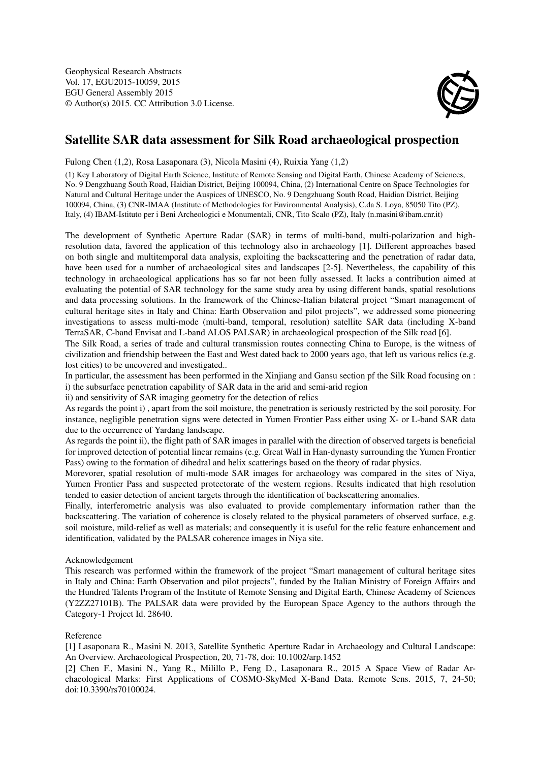Geophysical Research Abstracts Vol. 17, EGU2015-10059, 2015 EGU General Assembly 2015 © Author(s) 2015. CC Attribution 3.0 License.



## Satellite SAR data assessment for Silk Road archaeological prospection

Fulong Chen (1,2), Rosa Lasaponara (3), Nicola Masini (4), Ruixia Yang (1,2)

(1) Key Laboratory of Digital Earth Science, Institute of Remote Sensing and Digital Earth, Chinese Academy of Sciences, No. 9 Dengzhuang South Road, Haidian District, Beijing 100094, China, (2) International Centre on Space Technologies for Natural and Cultural Heritage under the Auspices of UNESCO, No. 9 Dengzhuang South Road, Haidian District, Beijing 100094, China, (3) CNR-IMAA (Institute of Methodologies for Environmental Analysis), C.da S. Loya, 85050 Tito (PZ), Italy, (4) IBAM-Istituto per i Beni Archeologici e Monumentali, CNR, Tito Scalo (PZ), Italy (n.masini@ibam.cnr.it)

The development of Synthetic Aperture Radar (SAR) in terms of multi-band, multi-polarization and highresolution data, favored the application of this technology also in archaeology [1]. Different approaches based on both single and multitemporal data analysis, exploiting the backscattering and the penetration of radar data, have been used for a number of archaeological sites and landscapes [2-5]. Nevertheless, the capability of this technology in archaeological applications has so far not been fully assessed. It lacks a contribution aimed at evaluating the potential of SAR technology for the same study area by using different bands, spatial resolutions and data processing solutions. In the framework of the Chinese-Italian bilateral project "Smart management of cultural heritage sites in Italy and China: Earth Observation and pilot projects", we addressed some pioneering investigations to assess multi-mode (multi-band, temporal, resolution) satellite SAR data (including X-band TerraSAR, C-band Envisat and L-band ALOS PALSAR) in archaeological prospection of the Silk road [6].

The Silk Road, a series of trade and cultural transmission routes connecting China to Europe, is the witness of civilization and friendship between the East and West dated back to 2000 years ago, that left us various relics (e.g. lost cities) to be uncovered and investigated..

In particular, the assessment has been performed in the Xinjiang and Gansu section pf the Silk Road focusing on : i) the subsurface penetration capability of SAR data in the arid and semi-arid region

ii) and sensitivity of SAR imaging geometry for the detection of relics

As regards the point i) , apart from the soil moisture, the penetration is seriously restricted by the soil porosity. For instance, negligible penetration signs were detected in Yumen Frontier Pass either using X- or L-band SAR data due to the occurrence of Yardang landscape.

As regards the point ii), the flight path of SAR images in parallel with the direction of observed targets is beneficial for improved detection of potential linear remains (e.g. Great Wall in Han-dynasty surrounding the Yumen Frontier Pass) owing to the formation of dihedral and helix scatterings based on the theory of radar physics.

Morevorer, spatial resolution of multi-mode SAR images for archaeology was compared in the sites of Niya, Yumen Frontier Pass and suspected protectorate of the western regions. Results indicated that high resolution tended to easier detection of ancient targets through the identification of backscattering anomalies.

Finally, interferometric analysis was also evaluated to provide complementary information rather than the backscattering. The variation of coherence is closely related to the physical parameters of observed surface, e.g. soil moisture, mild-relief as well as materials; and consequently it is useful for the relic feature enhancement and identification, validated by the PALSAR coherence images in Niya site.

## Acknowledgement

This research was performed within the framework of the project "Smart management of cultural heritage sites in Italy and China: Earth Observation and pilot projects", funded by the Italian Ministry of Foreign Affairs and the Hundred Talents Program of the Institute of Remote Sensing and Digital Earth, Chinese Academy of Sciences (Y2ZZ27101B). The PALSAR data were provided by the European Space Agency to the authors through the Category-1 Project Id. 28640.

## Reference

[1] Lasaponara R., Masini N. 2013, Satellite Synthetic Aperture Radar in Archaeology and Cultural Landscape: An Overview. Archaeological Prospection, 20, 71-78, doi: 10.1002/arp.1452

[2] Chen F., Masini N., Yang R., Milillo P., Feng D., Lasaponara R., 2015 A Space View of Radar Archaeological Marks: First Applications of COSMO-SkyMed X-Band Data. Remote Sens. 2015, 7, 24-50; doi:10.3390/rs70100024.